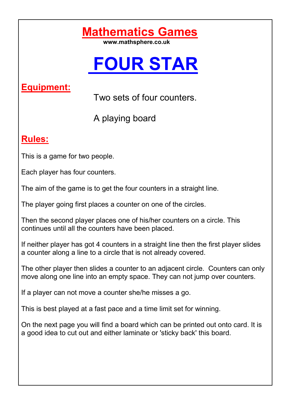# **Mathematics Games**

# **FOUR STAR**

## **Equipment:**

Two sets of four counters.

A playing board

## **Rules:**

This is a game for two people.

Each player has four counters.

The aim of the game is to get the four counters in a straight line.

The player going first places a counter on one of the circles.

Then the second player places one of his/her counters on a circle. This continues until all the counters have been placed.

If neither player has got 4 counters in a straight line then the first player slides a counter along a line to a circle that is not already covered.

The other player then slides a counter to an adjacent circle. Counters can only move along one line into an empty space. They can not jump over counters.

If a player can not move a counter she/he misses a go.

This is best played at a fast pace and a time limit set for winning.

On the next page you will find a board which can be printed out onto card. It is a good idea to cut out and either laminate or 'sticky back' this board.